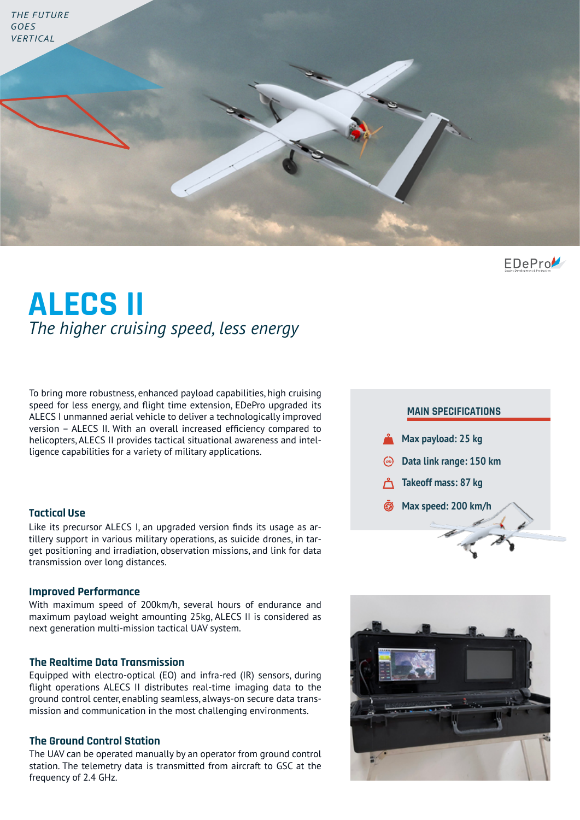

 $EDeProV$ 

# **ALECS II** *The higher cruising speed, less energy*

To bring more robustness, enhanced payload capabilities, high cruising speed for less energy, and flight time extension, EDePro upgraded its ALECS I unmanned aerial vehicle to deliver a technologically improved version – ALECS II. With an overall increased efficiency compared to helicopters, ALECS II provides tactical situational awareness and intelligence capabilities for a variety of military applications.

### **Tactical Use**

Like its precursor ALECS I, an upgraded version finds its usage as artillery support in various military operations, as suicide drones, in target positioning and irradiation, observation missions, and link for data transmission over long distances.

#### **Improved Performance**

With maximum speed of 200km/h, several hours of endurance and maximum payload weight amounting 25kg, ALECS II is considered as next generation multi-mission tactical UAV system.

### **The Realtime Data Transmission**

Equipped with electro-optical (EO) and infra-red (IR) sensors, during flight operations ALECS II distributes real-time imaging data to the ground control center, enabling seamless, always-on secure data transmission and communication in the most challenging environments.

#### **The Ground Control Station**

The UAV can be operated manually by an operator from ground control station. The telemetry data is transmitted from aircraft to GSC at the frequency of 2.4 GHz.